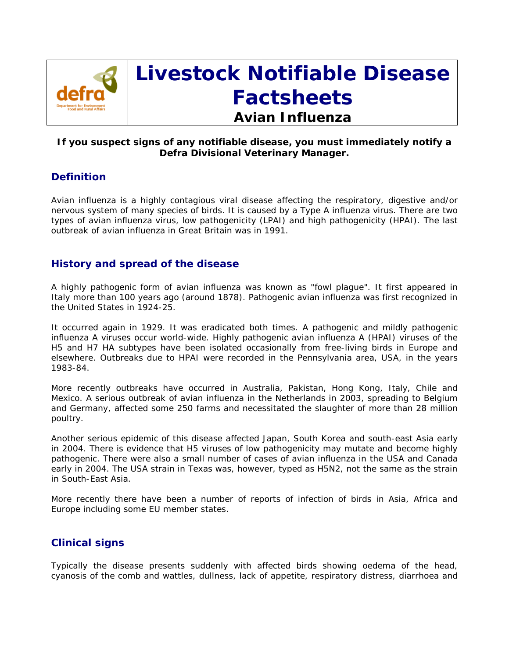

# **Livestock Notifiable Disease Factsheets Avian Influenza**

# **If you suspect signs of any notifiable disease, you must immediately notify a Defra Divisional Veterinary Manager.**

# **Definition**

Avian influenza is a highly contagious viral disease affecting the respiratory, digestive and/or nervous system of many species of birds. It is caused by a Type A influenza virus. There are two types of avian influenza virus, low pathogenicity (LPAI) and high pathogenicity (HPAI). The last outbreak of avian influenza in Great Britain was in 1991.

# **History and spread of the disease**

A highly pathogenic form of avian influenza was known as "fowl plague". It first appeared in Italy more than 100 years ago (around 1878). Pathogenic avian influenza was first recognized in the United States in 1924-25.

It occurred again in 1929. It was eradicated both times. A pathogenic and mildly pathogenic influenza A viruses occur world-wide. Highly pathogenic avian influenza A (HPAI) viruses of the H5 and H7 HA subtypes have been isolated occasionally from free-living birds in Europe and elsewhere. Outbreaks due to HPAI were recorded in the Pennsylvania area, USA, in the years 1983-84.

More recently outbreaks have occurred in Australia, Pakistan, Hong Kong, Italy, Chile and Mexico. A serious outbreak of avian influenza in the Netherlands in 2003, spreading to Belgium and Germany, affected some 250 farms and necessitated the slaughter of more than 28 million poultry.

Another serious epidemic of this disease affected Japan, South Korea and south-east Asia early in 2004. There is evidence that H5 viruses of low pathogenicity may mutate and become highly pathogenic. There were also a small number of cases of avian influenza in the USA and Canada early in 2004. The USA strain in Texas was, however, typed as H5N2, not the same as the strain in South-East Asia.

More recently there have been a number of reports of infection of birds in Asia, Africa and Europe including some EU member states.

# **Clinical signs**

Typically the disease presents suddenly with affected birds showing oedema of the head, cyanosis of the comb and wattles, dullness, lack of appetite, respiratory distress, diarrhoea and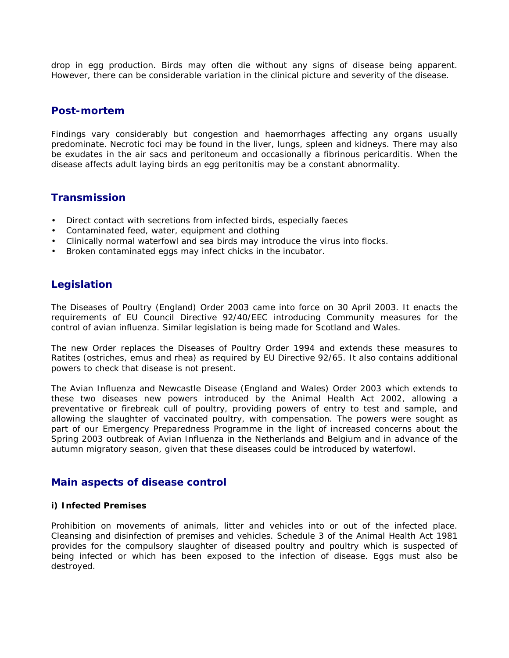drop in egg production. Birds may often die without any signs of disease being apparent. However, there can be considerable variation in the clinical picture and severity of the disease.

## **Post-mortem**

Findings vary considerably but congestion and haemorrhages affecting any organs usually predominate. Necrotic foci may be found in the liver, lungs, spleen and kidneys. There may also be exudates in the air sacs and peritoneum and occasionally a fibrinous pericarditis. When the disease affects adult laying birds an egg peritonitis may be a constant abnormality.

# **Transmission**

- Direct contact with secretions from infected birds, especially faeces
- Contaminated feed, water, equipment and clothing
- Clinically normal waterfowl and sea birds may introduce the virus into flocks.
- Broken contaminated eggs may infect chicks in the incubator.

# **Legislation**

The Diseases of Poultry (England) Order 2003 came into force on 30 April 2003. It enacts the requirements of EU Council Directive 92/40/EEC introducing Community measures for the control of avian influenza. Similar legislation is being made for Scotland and Wales.

The new Order replaces the Diseases of Poultry Order 1994 and extends these measures to Ratites (ostriches, emus and rhea) as required by EU Directive 92/65. It also contains additional powers to check that disease is not present.

The Avian Influenza and Newcastle Disease (England and Wales) Order 2003 which extends to these two diseases new powers introduced by the Animal Health Act 2002, allowing a preventative or firebreak cull of poultry, providing powers of entry to test and sample, and allowing the slaughter of vaccinated poultry, with compensation. The powers were sought as part of our Emergency Preparedness Programme in the light of increased concerns about the Spring 2003 outbreak of Avian Influenza in the Netherlands and Belgium and in advance of the autumn migratory season, given that these diseases could be introduced by waterfowl.

# **Main aspects of disease control**

#### **i) Infected Premises**

Prohibition on movements of animals, litter and vehicles into or out of the infected place. Cleansing and disinfection of premises and vehicles. Schedule 3 of the Animal Health Act 1981 provides for the compulsory slaughter of diseased poultry and poultry which is suspected of being infected or which has been exposed to the infection of disease. Eggs must also be destroyed.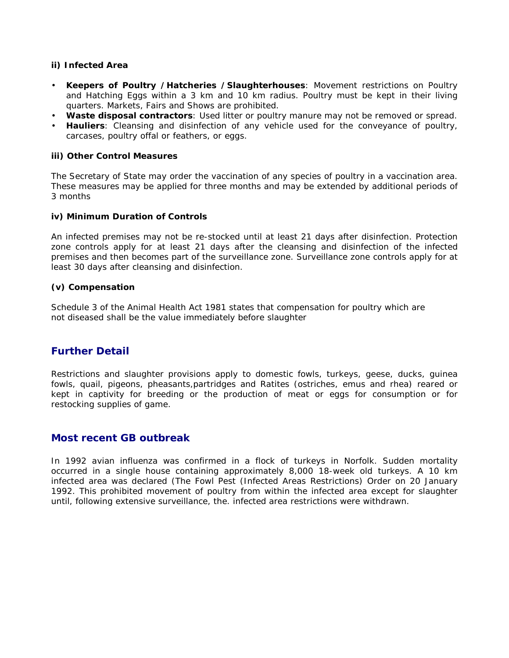#### **ii) Infected Area**

- **Keepers of Poultry /Hatcheries /Slaughterhouses**: Movement restrictions on Poultry and Hatching Eggs within a 3 km and 10 km radius. Poultry must be kept in their living quarters. Markets, Fairs and Shows are prohibited.
- **Waste disposal contractors**: Used litter or poultry manure may not be removed or spread.
- **Hauliers**: Cleansing and disinfection of any vehicle used for the conveyance of poultry, carcases, poultry offal or feathers, or eggs.

#### **iii) Other Control Measures**

The Secretary of State may order the vaccination of any species of poultry in a vaccination area. These measures may be applied for three months and may be extended by additional periods of 3 months

#### **iv) Minimum Duration of Controls**

An infected premises may not be re-stocked until at least 21 days after disinfection. Protection zone controls apply for at least 21 days after the cleansing and disinfection of the infected premises and then becomes part of the surveillance zone. Surveillance zone controls apply for at least 30 days after cleansing and disinfection.

#### **(v) Compensation**

Schedule 3 of the Animal Health Act 1981 states that compensation for poultry which are not diseased shall be the value immediately before slaughter

# **Further Detail**

Restrictions and slaughter provisions apply to domestic fowls, turkeys, geese, ducks, guinea fowls, quail, pigeons, pheasants,partridges and Ratites (ostriches, emus and rhea) reared or kept in captivity for breeding or the production of meat or eggs for consumption or for restocking supplies of game.

## **Most recent GB outbreak**

In 1992 avian influenza was confirmed in a flock of turkeys in Norfolk. Sudden mortality occurred in a single house containing approximately 8,000 18-week old turkeys. A 10 km infected area was declared (The Fowl Pest (Infected Areas Restrictions) Order on 20 January 1992. This prohibited movement of poultry from within the infected area except for slaughter until, following extensive surveillance, the. infected area restrictions were withdrawn.